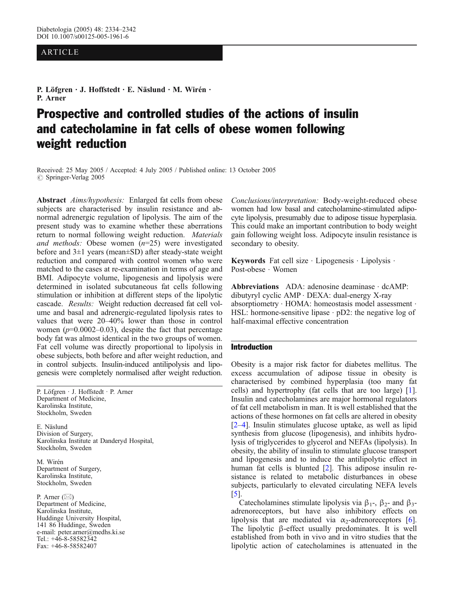## ARTICLE

P. Löfgren · J. Hoffstedt · E. Näslund · M. Wirén · P. Arner

# Prospective and controlled studies of the actions of insulin and catecholamine in fat cells of obese women following weight reduction

Received: 25 May 2005 / Accepted: 4 July 2005 / Published online: 13 October 2005  $\circ$  Springer-Verlag 2005

Abstract Aims/hypothesis: Enlarged fat cells from obese subjects are characterised by insulin resistance and abnormal adrenergic regulation of lipolysis. The aim of the present study was to examine whether these aberrations return to normal following weight reduction. Materials and methods: Obese women  $(n=25)$  were investigated before and 3±1 years (mean±SD) after steady-state weight reduction and compared with control women who were matched to the cases at re-examination in terms of age and BMI. Adipocyte volume, lipogenesis and lipolysis were determined in isolated subcutaneous fat cells following stimulation or inhibition at different steps of the lipolytic cascade. Results: Weight reduction decreased fat cell volume and basal and adrenergic-regulated lipolysis rates to values that were 20–40% lower than those in control women  $(p=0.0002-0.03)$ , despite the fact that percentage body fat was almost identical in the two groups of women. Fat cell volume was directly proportional to lipolysis in obese subjects, both before and after weight reduction, and in control subjects. Insulin-induced antilipolysis and lipogenesis were completely normalised after weight reduction.

P. Löfgren . J. Hoffstedt . P. Arner Department of Medicine, Karolinska Institute, Stockholm, Sweden

E. Näslund Division of Surgery, Karolinska Institute at Danderyd Hospital, Stockholm, Sweden

M. Wirén Department of Surgery, Karolinska Institute, Stockholm, Sweden

P. Arner  $(\boxtimes)$ Department of Medicine, Karolinska Institute, Huddinge University Hospital, 141 86 Huddinge, Sweden e-mail: peter.arner@medhs.ki.se Tel.: +46-8-58582342 Fax: +46-8-58582407

Conclusions/interpretation: Body-weight-reduced obese women had low basal and catecholamine-stimulated adipocyte lipolysis, presumably due to adipose tissue hyperplasia. This could make an important contribution to body weight gain following weight loss. Adipocyte insulin resistance is secondary to obesity.

Keywords Fat cell size  $\cdot$  Lipogenesis  $\cdot$  Lipolysis  $\cdot$ Post-obese . Women

Abbreviations ADA: adenosine deaminase  $\cdot$  dcAMP: dibutyryl cyclic AMP . DEXA: dual-energy X-ray absorptiometry · HOMA: homeostasis model assessment · HSL: hormone-sensitive lipase  $\cdot$  pD2: the negative log of half-maximal effective concentration

#### Introduction

Obesity is a major risk factor for diabetes mellitus. The excess accumulation of adipose tissue in obesity is characterised by combined hyperplasia (too many fat cells) and hypertrophy (fat cells that are too large) [[1](#page-7-0)]. Insulin and catecholamines are major hormonal regulators of fat cell metabolism in man. It is well established that the actions of these hormones on fat cells are altered in obesity [[2](#page-8-0)–[4](#page-8-0)]. Insulin stimulates glucose uptake, as well as lipid synthesis from glucose (lipogenesis), and inhibits hydrolysis of triglycerides to glycerol and NEFAs (lipolysis). In obesity, the ability of insulin to stimulate glucose transport and lipogenesis and to induce the antilipolytic effect in human fat cells is blunted [[2](#page-8-0)]. This adipose insulin resistance is related to metabolic disturbances in obese subjects, particularly to elevated circulating NEFA levels [[5\]](#page-8-0).

Catecholamines stimulate lipolysis via  $\beta_1$ -,  $\beta_2$ - and  $\beta_3$ adrenoreceptors, but have also inhibitory effects on lipolysis that are mediated via  $\alpha_2$ -adrenoreceptors [[6](#page-8-0)]. The lipolytic β-effect usually predominates. It is well established from both in vivo and in vitro studies that the lipolytic action of catecholamines is attenuated in the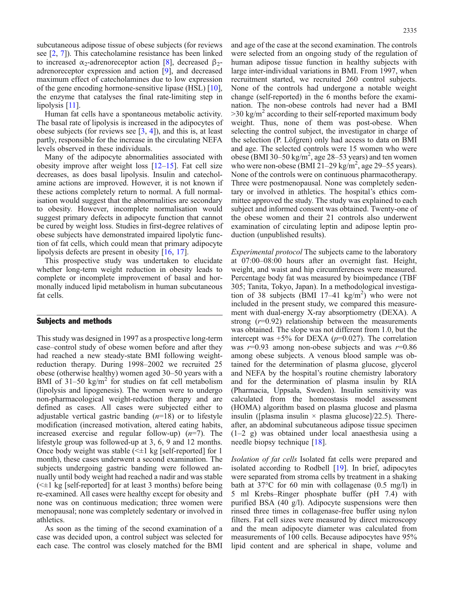subcutaneous adipose tissue of obese subjects (for reviews see [\[2](#page-8-0), [7](#page-8-0)]). This catecholamine resistance has been linked to increased  $α_2$ -adrenoreceptor action [\[8](#page-8-0)], decreased β<sub>2</sub>adrenoreceptor expression and action [\[9](#page-8-0)], and decreased maximum effect of catecholamines due to low expression of the gene encoding hormone-sensitive lipase (HSL) [[10\]](#page-8-0), the enzyme that catalyses the final rate-limiting step in lipolysis [[11\]](#page-8-0).

Human fat cells have a spontaneous metabolic activity. The basal rate of lipolysis is increased in the adipocytes of obese subjects (for reviews see [[3](#page-8-0), [4](#page-8-0)]), and this is, at least partly, responsible for the increase in the circulating NEFA levels observed in these individuals.

Many of the adipocyte abnormalities associated with obesity improve after weight loss  $[12-15]$  $[12-15]$  $[12-15]$  $[12-15]$ . Fat cell size decreases, as does basal lipolysis. Insulin and catecholamine actions are improved. However, it is not known if these actions completely return to normal. A full normalisation would suggest that the abnormalities are secondary to obesity. However, incomplete normalisation would suggest primary defects in adipocyte function that cannot be cured by weight loss. Studies in first-degree relatives of obese subjects have demonstrated impaired lipolytic function of fat cells, which could mean that primary adipocyte lipolysis defects are present in obesity [\[16,](#page-8-0) [17\]](#page-8-0).

This prospective study was undertaken to elucidate whether long-term weight reduction in obesity leads to complete or incomplete improvement of basal and hormonally induced lipid metabolism in human subcutaneous fat cells.

## Subjects and methods

This study was designed in 1997 as a prospective long-term case–control study of obese women before and after they had reached a new steady-state BMI following weightreduction therapy. During 1998–2002 we recruited 25 obese (otherwise healthy) women aged 30–50 years with a BMI of  $31-50 \text{ kg/m}^2$  for studies on fat cell metabolism (lipolysis and lipogenesis). The women were to undergo non-pharmacological weight-reduction therapy and are defined as cases. All cases were subjected either to adjustable vertical gastric banding  $(n=18)$  or to lifestyle modification (increased motivation, altered eating habits, increased exercise and regular follow-up)  $(n=7)$ . The lifestyle group was followed-up at 3, 6, 9 and 12 months. Once body weight was stable  $(\leq \pm 1 \text{ kg}$  [self-reported] for 1 month), these cases underwent a second examination. The subjects undergoing gastric banding were followed annually until body weight had reached a nadir and was stable  $(\leq \pm 1 \text{ kg}$  [self-reported] for at least 3 months) before being re-examined. All cases were healthy except for obesity and none was on continuous medication; three women were menopausal; none was completely sedentary or involved in athletics.

As soon as the timing of the second examination of a case was decided upon, a control subject was selected for each case. The control was closely matched for the BMI

and age of the case at the second examination. The controls were selected from an ongoing study of the regulation of human adipose tissue function in healthy subjects with large inter-individual variations in BMI. From 1997, when recruitment started, we recruited 260 control subjects. None of the controls had undergone a notable weight change (self-reported) in the 6 months before the examination. The non-obese controls had never had a BMI  $>$ 30 kg/m<sup>2</sup> according to their self-reported maximum body weight. Thus, none of them was post-obese. When selecting the control subject, the investigator in charge of the selection (P. Löfgren) only had access to data on BMI and age. The selected controls were 15 women who were obese (BMI 30–50 kg/m<sup>2</sup>, age 28–53 years) and ten women who were non-obese (BMI  $21-29$  kg/m<sup>2</sup>, age 29-55 years). None of the controls were on continuous pharmacotherapy. Three were postmenopausal. None was completely sedentary or involved in athletics. The hospital's ethics committee approved the study. The study was explained to each subject and informed consent was obtained. Twenty-one of the obese women and their 21 controls also underwent examination of circulating leptin and adipose leptin production (unpublished results).

Experimental protocol The subjects came to the laboratory at 07:00–08:00 hours after an overnight fast. Height, weight, and waist and hip circumferences were measured. Percentage body fat was measured by bioimpedance (TBF 305; Tanita, Tokyo, Japan). In a methodological investigation of 38 subjects (BMI 17-41 kg/m<sup>2</sup>) who were not included in the present study, we compared this measurement with dual-energy X-ray absorptiometry (DEXA). A strong  $(r=0.92)$  relationship between the measurements was obtained. The slope was not different from 1.0, but the intercept was  $+5\%$  for DEXA ( $p=0.027$ ). The correlation was  $r=0.93$  among non-obese subjects and was  $r=0.86$ among obese subjects. A venous blood sample was obtained for the determination of plasma glucose, glycerol and NEFA by the hospital's routine chemistry laboratory and for the determination of plasma insulin by RIA (Pharmacia, Uppsala, Sweden). Insulin sensitivity was calculated from the homeostasis model assessment (HOMA) algorithm based on plasma glucose and plasma insulin ([plasma insulin  $\times$  plasma glucose]/22.5). Thereafter, an abdominal subcutaneous adipose tissue specimen (1–2 g) was obtained under local anaesthesia using a needle biopsy technique [\[18\]](#page-8-0).

Isolation of fat cells Isolated fat cells were prepared and isolated according to Rodbell [[19](#page-8-0)]. In brief, adipocytes were separated from stroma cells by treatment in a shaking bath at 37°C for 60 min with collagenase (0.5 mg/l) in 5 ml Krebs–Ringer phosphate buffer (pH 7.4) with purified BSA (40 g/l). Adipocyte suspensions were then rinsed three times in collagenase-free buffer using nylon filters. Fat cell sizes were measured by direct microscopy and the mean adipocyte diameter was calculated from measurements of 100 cells. Because adipocytes have 95% lipid content and are spherical in shape, volume and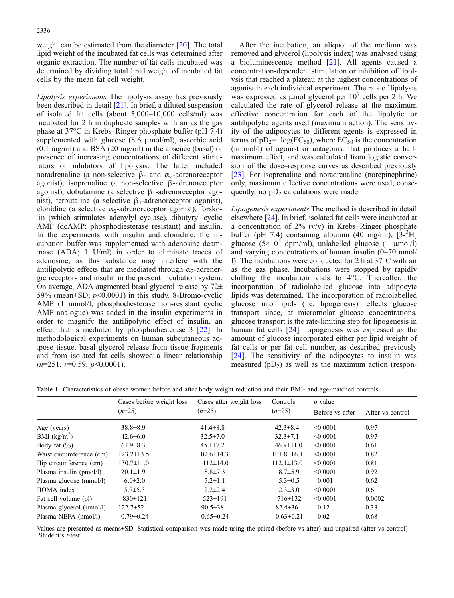<span id="page-2-0"></span>weight can be estimated from the diameter [[20](#page-8-0)]. The total lipid weight of the incubated fat cells was determined after organic extraction. The number of fat cells incubated was determined by dividing total lipid weight of incubated fat cells by the mean fat cell weight.

Lipolysis experiments The lipolysis assay has previously been described in detail [[21\]](#page-8-0). In brief, a diluted suspension of isolated fat cells (about 5,000–10,000 cells/ml) was incubated for 2 h in duplicate samples with air as the gas phase at 37°C in Krebs–Ringer phosphate buffer (pH 7.4) supplemented with glucose (8.6 μmol/ml), ascorbic acid (0.1 mg/ml) and BSA (20 mg/ml) in the absence (basal) or presence of increasing concentrations of different stimulators or inhibitors of lipolysis. The latter included noradrenaline (a non-selective β- and  $\alpha_2$ -adrenoreceptor agonist), isoprenaline (a non-selective β-adrenoreceptor agonist), dobutamine (a selective  $\beta_1$ -adrenoreceptor agonist), terbutaline (a selective  $\beta_1$ -adrenoreceptor agonist), clonidine (a selective  $\alpha_2$ -adrenoreceptor agonist), forskolin (which stimulates adenylyl cyclase), dibutyryl cyclic AMP (dcAMP; phosphodiesterase resistant) and insulin. In the experiments with insulin and clonidine, the incubation buffer was supplemented with adenosine deaminase (ADA; 1 U/ml) in order to eliminate traces of adenosine, as this substance may interfere with the antilipolytic effects that are mediated through  $\alpha_2$ -adrenergic receptors and insulin in the present incubation system. On average, ADA augmented basal glycerol release by  $72\pm$ 59% (mean $\pm$ SD;  $p$ <0.0001) in this study. 8-Bromo-cyclic AMP (1 mmol/l, phosphodiesterase non-resistant cyclic AMP analogue) was added in the insulin experiments in order to magnify the antilipolytic effect of insulin, an effect that is mediated by phosphodiesterase 3 [[22](#page-8-0)]. In methodological experiments on human subcutaneous adipose tissue, basal glycerol release from tissue fragments and from isolated fat cells showed a linear relationship  $(n=251, r=0.59, p<0.0001).$ 

After the incubation, an aliquot of the medium was removed and glycerol (lipolysis index) was analysed using a bioluminescence method [[21](#page-8-0)]. All agents caused a concentration-dependent stimulation or inhibition of lipolysis that reached a plateau at the highest concentrations of agonist in each individual experiment. The rate of lipolysis was expressed as  $\mu$ mol glycerol per 10<sup> $\prime$ </sup> cells per 2 h. We calculated the rate of glycerol release at the maximum effective concentration for each of the lipolytic or antilipolytic agents used (maximum action). The sensitivity of the adipocytes to different agents is expressed in terms of  $pD_2$ =−log(EC<sub>50</sub>), where EC<sub>50</sub> is the concentration (in mol/l) of agonist or antagonist that produces a halfmaximum effect, and was calculated from logistic conversion of the dose–response curves as described previously [[23\]](#page-8-0). For isoprenaline and noradrenaline (norepinephrine) only, maximum effective concentrations were used; consequently, no  $pD_2$  calculations were made.

Lipogenesis experiments The method is described in detail elsewhere [\[24\]](#page-8-0). In brief, isolated fat cells were incubated at a concentration of  $2\%$  (v/v) in Krebs–Ringer phosphate buffer (pH 7.4) containing albumin (40 mg/ml),  $[3^{-3}H]$ glucose ( $5\times10^5$  dpm/ml), unlabelled glucose (1  $\mu$ mol/l) and varying concentrations of human insulin (0–70 nmol/ l). The incubations were conducted for 2 h at 37°C with air as the gas phase. Incubations were stopped by rapidly chilling the incubation vials to 4°C. Thereafter, the incorporation of radiolabelled glucose into adipocyte lipids was determined. The incorporation of radiolabelled glucose into lipids (i.e. lipogenesis) reflects glucose transport since, at micromolar glucose concentrations, glucose transport is the rate-limiting step for lipogenesis in human fat cells [[24](#page-8-0)]. Lipogenesis was expressed as the amount of glucose incorporated either per lipid weight of fat cells or per fat cell number, as described previously [[24](#page-8-0)]. The sensitivity of the adipocytes to insulin was measured  $(pD_2)$  as well as the maximum action (respon-

Table 1 Characteristics of obese women before and after body weight reduction and their BMI- and age-matched controls

|                               | Cases before weight loss<br>$(n=25)$ | Cases after weight loss<br>$(n=25)$ | Controls<br>$(n=25)$ | $p$ value       |                  |
|-------------------------------|--------------------------------------|-------------------------------------|----------------------|-----------------|------------------|
|                               |                                      |                                     |                      | Before vs after | After vs control |
| Age (years)                   | $38.8 \pm 8.9$                       | $41.4 \pm 8.8$                      | $42.3 \pm 8.4$       | < 0.0001        | 0.97             |
| BMI $(kg/m^2)$                | $42.6 \pm 6.0$                       | $32.5 \pm 7.0$                      | $32.3 \pm 7.1$       | < 0.0001        | 0.97             |
| Body fat $(\% )$              | $61.9 \pm 8.3$                       | $45.1 \pm 7.2$                      | $46.9 \pm 11.0$      | < 0.0001        | 0.61             |
| Waist circumference (cm)      | $123.2 \pm 13.5$                     | $102.6 \pm 14.3$                    | $101.8 \pm 16.1$     | < 0.0001        | 0.82             |
| Hip circumference (cm)        | $130.7 \pm 11.0$                     | $112\pm 14.0$                       | $112.1 \pm 13.0$     | < 0.0001        | 0.81             |
| Plasma insulin (pmol/l)       | $20.1 \pm 1.9$                       | $8.8 \pm 7.3$                       | $8.7 \pm 5.9$        | < 0.0001        | 0.92             |
| Plasma glucose (mmol/l)       | $6.0 \pm 2.0$                        | $5.2 \pm 1.1$                       | $5.3 \pm 0.5$        | 0.001           | 0.62             |
| HOMA index                    | $5.7 \pm 5.3$                        | $2.2 \pm 2.4$                       | $2.3 \pm 3.0$        | < 0.0001        | 0.6              |
| Fat cell volume (pl)          | $830 \pm 121$                        | $523 \pm 191$                       | $716 \pm 132$        | < 0.0001        | 0.0002           |
| Plasma glycerol $(\mu mol/l)$ | $122.7 \pm 52$                       | $90.5 \pm 38$                       | $82.4 \pm 36$        | 0.12            | 0.33             |
| Plasma NEFA (nmol/l)          | $0.79 \pm 0.24$                      | $0.65 \pm 0.24$                     | $0.63 \pm 0.21$      | 0.02            | 0.68             |

Values are presented as means±SD. Statistical comparison was made using the paired (before vs after) and unpaired (after vs control) Student's t-test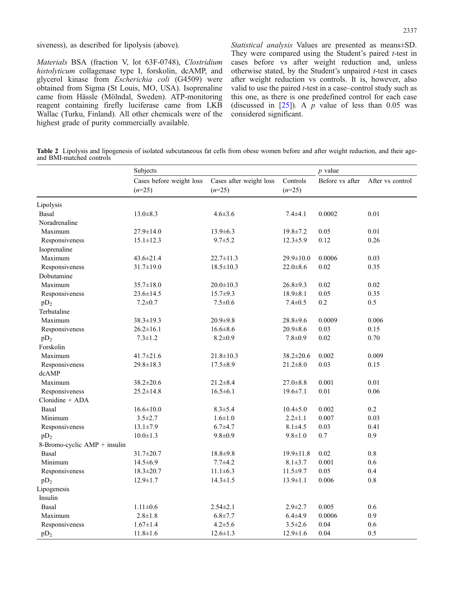#### <span id="page-3-0"></span>siveness), as described for lipolysis (above).

Materials BSA (fraction V, lot 63F-0748), Clostridium histolyticum collagenase type I, forskolin, dcAMP, and glycerol kinase from Escherichia coli (G4509) were obtained from Sigma (St Louis, MO, USA). Isoprenaline came from Hässle (Mölndal, Sweden). ATP-monitoring reagent containing firefly luciferase came from LKB Wallac (Turku, Finland). All other chemicals were of the highest grade of purity commercially available.

Statistical analysis Values are presented as means±SD. They were compared using the Student's paired t-test in cases before vs after weight reduction and, unless otherwise stated, by the Student's unpaired t-test in cases after weight reduction vs controls. It is, however, also valid to use the paired  $t$ -test in a case–control study such as this one, as there is one predefined control for each case (discussed in  $[25]$ ). A p value of less than 0.05 was considered significant.

Table 2 Lipolysis and lipogenesis of isolated subcutaneous fat cells from obese women before and after weight reduction, and their ageand BMI-matched controls

|                              | Subjects                             |                                     |                      | $p$ value       |                  |
|------------------------------|--------------------------------------|-------------------------------------|----------------------|-----------------|------------------|
|                              | Cases before weight loss<br>$(n=25)$ | Cases after weight loss<br>$(n=25)$ | Controls<br>$(n=25)$ | Before vs after | After vs control |
| Lipolysis                    |                                      |                                     |                      |                 |                  |
| Basal                        | $13.0 \pm 8.3$                       | $4.6 \pm 3.6$                       | $7.4 \pm 4.1$        | 0.0002          | 0.01             |
| Noradrenaline                |                                      |                                     |                      |                 |                  |
| Maximum                      | $27.9 \pm 14.0$                      | 13.9±6.3                            | 19.8±7.2             | 0.05            | 0.01             |
| Responsiveness               | $15.1 \pm 12.3$                      | $9.7 \pm 5.2$                       | $12.3 \pm 5.9$       | 0.12            | 0.26             |
| Isoprenaline                 |                                      |                                     |                      |                 |                  |
| Maximum                      | $43.6 \pm 21.4$                      | $22.7 \pm 11.3$                     | $29.9 \pm 10.0$      | 0.0006          | 0.03             |
| Responsiveness               | $31.7 \pm 19.0$                      | $18.5 \pm 10.3$                     | $22.0 \pm 8.6$       | 0.02            | 0.35             |
| Dobutamine                   |                                      |                                     |                      |                 |                  |
| Maximum                      | $35.7 \pm 18.0$                      | $20.0 \pm 10.3$                     | $26.8 + 9.3$         | 0.02            | 0.02             |
| Responsiveness               | $23.6 \pm 14.5$                      | $15.7 \pm 9.3$                      | $18.9 \pm 8.1$       | 0.05            | 0.35             |
| $pD_2$                       | $7.2 \pm 0.7$                        | $7.5 \pm 0.6$                       | $7.4 \pm 0.5$        | 0.2             | 0.5              |
| Terbutaline                  |                                      |                                     |                      |                 |                  |
| Maximum                      | $38.3 \pm 19.3$                      | $20.9 + 9.8$                        | $28.8 + 9.6$         | 0.0009          | 0.006            |
| Responsiveness               | $26.2 \pm 16.1$                      | $16.6 \pm 8.6$                      | $20.9 \pm 8.6$       | 0.03            | 0.15             |
| $pD_2$                       | $7.3 \pm 1.2$                        | $8.2 \pm 0.9$                       | $7.8 + 0.9$          | 0.02            | 0.70             |
| Forskolin                    |                                      |                                     |                      |                 |                  |
| Maximum                      | $41.7 \pm 21.6$                      | $21.8 \pm 10.3$                     | 38.2±20.6            | 0.002           | 0.009            |
| Responsiveness               | $29.8 \pm 18.3$                      | $17.5 \pm 8.9$                      | $21.2 \pm 8.0$       | 0.03            | 0.15             |
| dcAMP                        |                                      |                                     |                      |                 |                  |
| Maximum                      | 38.2±20.6                            | $21.2 \pm 8.4$                      | $27.0 \pm 8.8$       | 0.001           | 0.01             |
| Responsiveness               | $25.2 \pm 14.8$                      | $16.5 \pm 6.1$                      | $19.6 \pm 7.1$       | 0.01            | 0.06             |
| $Clonidine + ADA$            |                                      |                                     |                      |                 |                  |
| Basal                        | $16.6 \pm 10.0$                      | $8.3 \pm 5.4$                       | $10.4 \pm 5.0$       | 0.002           | 0.2              |
| Minimum                      | $3.5 \pm 2.7$                        | $1.6 \pm 1.0$                       | $2.2 \pm 1.1$        | 0.007           | 0.03             |
| Responsiveness               | $13.1 \pm 7.9$                       | $6.7 + 4.7$                         | $8.1 \pm 4.5$        | 0.03            | 0.41             |
| $pD_2$                       | $10.0 \pm 1.3$                       | $9.8 \pm 0.9$                       | $9.8 \pm 1.0$        | 0.7             | 0.9              |
| 8-Bromo-cyclic AMP + insulin |                                      |                                     |                      |                 |                  |
| Basal                        | 31.7±20.7                            | $18.8 + 9.8$                        | $19.9 \pm 11.8$      | 0.02            | 0.8              |
| Minimum                      | $14.5 \pm 6.9$                       | $7.7 + 4.2$                         | $8.1 \pm 3.7$        | 0.001           | 0.6              |
| Responsiveness               | $18.3 \pm 20.7$                      | $11.1 \pm 6.3$                      | $11.5 \pm 9.7$       | 0.05            | 0.4              |
| $pD_2$                       | $12.9 \pm 1.7$                       | $14.3 \pm 1.5$                      | $13.9 \pm 1.1$       | 0.006           | $0.8\,$          |
| Lipogenesis                  |                                      |                                     |                      |                 |                  |
| Insulin                      |                                      |                                     |                      |                 |                  |
| Basal                        | $1.11 \pm 0.6$                       | $2.54 \pm 2.1$                      | $2.9 \pm 2.7$        | 0.005           | 0.6              |
| Maximum                      | $2.8 \pm 1.8$                        | $6.8 \pm 7.7$                       | $6.4{\pm}4.9$        | 0.0006          | 0.9              |
| Responsiveness               | $1.67 \pm 1.4$                       | $4.2 \pm 5.6$                       | $3.5 \pm 2.6$        | 0.04            | 0.6              |
| $pD_2$                       | $11.8 \pm 1.6$                       | $12.6 \pm 1.3$                      | $12.9 \pm 1.6$       | 0.04            | 0.5              |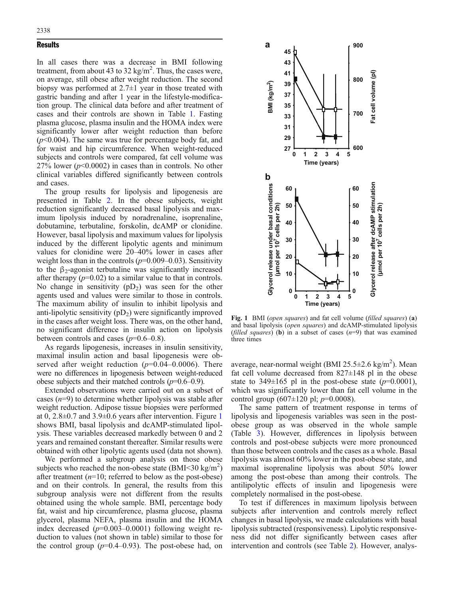## <span id="page-4-0"></span>**Results**

In all cases there was a decrease in BMI following treatment, from about 43 to 32 kg/m<sup>2</sup>. Thus, the cases were, on average, still obese after weight reduction. The second biopsy was performed at 2.7±1 year in those treated with gastric banding and after 1 year in the lifestyle-modification group. The clinical data before and after treatment of cases and their controls are shown in Table [1.](#page-2-0) Fasting plasma glucose, plasma insulin and the HOMA index were significantly lower after weight reduction than before  $(p<0.004)$ . The same was true for percentage body fat, and for waist and hip circumference. When weight-reduced subjects and controls were compared, fat cell volume was 27% lower ( $p$ <0.0002) in cases than in controls. No other clinical variables differed significantly between controls and cases.

The group results for lipolysis and lipogenesis are presented in Table [2](#page-3-0). In the obese subjects, weight reduction significantly decreased basal lipolysis and maximum lipolysis induced by noradrenaline, isoprenaline, dobutamine, terbutaline, forskolin, dcAMP or clonidine. However, basal lipolysis and maximum values for lipolysis induced by the different lipolytic agents and minimum values for clonidine were 20–40% lower in cases after weight loss than in the controls  $(p=0.009-0.03)$ . Sensitivity to the  $\beta_2$ -agonist terbutaline was significantly increased after therapy  $(p=0.02)$  to a similar value to that in controls. No change in sensitivity  $(pD_2)$  was seen for the other agents used and values were similar to those in controls. The maximum ability of insulin to inhibit lipolysis and anti-lipolytic sensitivity  $(pD_2)$  were significantly improved in the cases after weight loss. There was, on the other hand, no significant difference in insulin action on lipolysis between controls and cases  $(p=0.6-0.8)$ .

As regards lipogenesis, increases in insulin sensitivity, maximal insulin action and basal lipogenesis were observed after weight reduction  $(p=0.04-0.0006)$ . There were no differences in lipogenesis between weight-reduced obese subjects and their matched controls  $(p=0.6-0.9)$ .

Extended observations were carried out on a subset of cases  $(n=9)$  to determine whether lipolysis was stable after weight reduction. Adipose tissue biopsies were performed at 0,  $2.8\pm0.7$  and  $3.9\pm0.6$  years after intervention. Figure 1 shows BMI, basal lipolysis and dcAMP-stimulated lipolysis. These variables decreased markedly between 0 and 2 years and remained constant thereafter. Similar results were obtained with other lipolytic agents used (data not shown).

We performed a subgroup analysis on those obese subjects who reached the non-obese state  $(BMI < 30 \text{ kg/m}^2)$ after treatment  $(n=10;$  referred to below as the post-obese) and on their controls. In general, the results from this subgroup analysis were not different from the results obtained using the whole sample. BMI, percentage body fat, waist and hip circumference, plasma glucose, plasma glycerol, plasma NEFA, plasma insulin and the HOMA index decreased  $(p=0.003-0.0001)$  following weight reduction to values (not shown in table) similar to those for the control group  $(p=0.4-0.93)$ . The post-obese had, on



Fig. 1 BMI (open squares) and fat cell volume (filled squares) (a) and basal lipolysis (open squares) and dcAMP-stimulated lipolysis (filled squares) (b) in a subset of cases  $(n=9)$  that was examined three times

average, near-normal weight (BMI  $25.5 \pm 2.6$  kg/m<sup>2</sup>). Mean fat cell volume decreased from  $827 \pm 148$  pl in the obese state to 349 $\pm$ 165 pl in the post-obese state ( $p=0.0001$ ), which was significantly lower than fat cell volume in the control group (607 $\pm$ 120 pl; *p*=0.0008).

The same pattern of treatment response in terms of lipolysis and lipogenesis variables was seen in the postobese group as was observed in the whole sample (Table [3\)](#page-5-0). However, differences in lipolysis between controls and post-obese subjects were more pronounced than those between controls and the cases as a whole. Basal lipolysis was almost 60% lower in the post-obese state, and maximal isoprenaline lipolysis was about 50% lower among the post-obese than among their controls. The antilipolytic effects of insulin and lipogenesis were completely normalised in the post-obese.

To test if differences in maximum lipolysis between subjects after intervention and controls merely reflect changes in basal lipolysis, we made calculations with basal lipolysis subtracted (responsiveness). Lipolytic responsiveness did not differ significantly between cases after intervention and controls (see Table [2\)](#page-3-0). However, analys-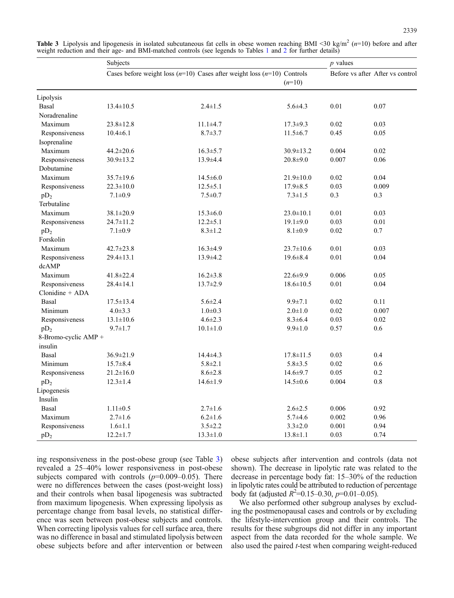|                      | Subjects        |                                                                             |                 | $p$ values |                                  |
|----------------------|-----------------|-----------------------------------------------------------------------------|-----------------|------------|----------------------------------|
|                      |                 | Cases before weight loss $(n=10)$ Cases after weight loss $(n=10)$ Controls | $(n=10)$        |            | Before vs after After vs control |
| Lipolysis            |                 |                                                                             |                 |            |                                  |
| Basal                | $13.4 \pm 10.5$ | $2.4 \pm 1.5$                                                               | $5.6 \pm 4.3$   | 0.01       | 0.07                             |
| Noradrenaline        |                 |                                                                             |                 |            |                                  |
| Maximum              | $23.8 \pm 12.8$ | $11.1 \pm 4.7$                                                              | $17.3 \pm 9.3$  | 0.02       | 0.03                             |
| Responsiveness       | $10.4 \pm 6.1$  | $8.7 \pm 3.7$                                                               | $11.5 \pm 6.7$  | 0.45       | 0.05                             |
| Isoprenaline         |                 |                                                                             |                 |            |                                  |
| Maximum              | 44.2±20.6       | $16.3 \pm 5.7$                                                              | 30.9±13.2       | 0.004      | 0.02                             |
| Responsiveness       | $30.9 \pm 13.2$ | 13.9±4.4                                                                    | $20.8 + 9.0$    | 0.007      | 0.06                             |
| Dobutamine           |                 |                                                                             |                 |            |                                  |
| Maximum              | $35.7 \pm 19.6$ | $14.5 \pm 6.0$                                                              | $21.9 \pm 10.0$ | 0.02       | 0.04                             |
| Responsiveness       | $22.3 \pm 10.0$ | $12.5 \pm 5.1$                                                              | $17.9 \pm 8.5$  | 0.03       | 0.009                            |
| $pD_2$               | $7.1 \pm 0.9$   | $7.5 \pm 0.7$                                                               | $7.3 \pm 1.5$   | 0.3        | 0.3                              |
| Terbutaline          |                 |                                                                             |                 |            |                                  |
| Maximum              | $38.1 \pm 20.9$ | $15.3 \pm 6.0$                                                              | $23.0 \pm 10.1$ | 0.01       | 0.03                             |
| Responsiveness       | 24.7±11.2       | $12.2 \pm 5.1$                                                              | $19.1 \pm 9.0$  | 0.03       | 0.01                             |
| $pD_2$               | $7.1 \pm 0.9$   | $8.3 \pm 1.2$                                                               | $8.1 \pm 0.9$   | 0.02       | 0.7                              |
| Forskolin            |                 |                                                                             |                 |            |                                  |
| Maximum              | 42.7±23.8       | $16.3 \pm 4.9$                                                              | $23.7 \pm 10.6$ | 0.01       | 0.03                             |
| Responsiveness       | $29.4 \pm 13.1$ | $13.9 \pm 4.2$                                                              | $19.6 \pm 8.4$  | 0.01       | 0.04                             |
| dcAMP                |                 |                                                                             |                 |            |                                  |
| Maximum              | 41.8±22.4       | $16.2 \pm 3.8$                                                              | $22.6 \pm 9.9$  | 0.006      | 0.05                             |
| Responsiveness       | $28.4 \pm 14.1$ | $13.7 \pm 2.9$                                                              | $18.6 \pm 10.5$ | 0.01       | 0.04                             |
| $Clonidine + ADA$    |                 |                                                                             |                 |            |                                  |
| Basal                | $17.5 \pm 13.4$ | $5.6 \pm 2.4$                                                               | $9.9 \pm 7.1$   | 0.02       | 0.11                             |
| Minimum              | $4.0 \pm 3.3$   | $1.0 + 0.3$                                                                 | $2.0 \pm 1.0$   | 0.02       | 0.007                            |
| Responsiveness       | $13.1 \pm 10.6$ | $4.6 \pm 2.3$                                                               | $8.3 \pm 6.4$   | 0.03       | 0.02                             |
| $pD_2$               | $9.7 \pm 1.7$   | $10.1 \pm 1.0$                                                              | $9.9 \pm 1.0$   | 0.57       | 0.6                              |
| 8-Bromo-cyclic AMP + |                 |                                                                             |                 |            |                                  |
| insulin              |                 |                                                                             |                 |            |                                  |
| Basal                | 36.9±21.9       | $14.4 \pm 4.3$                                                              | $17.8 \pm 11.5$ | 0.03       | 0.4                              |
| Minimum              | $15.7 \pm 8.4$  | $5.8 \pm 2.1$                                                               | $5.8 \pm 3.5$   | 0.02       | 0.6                              |
| Responsiveness       | $21.2 \pm 16.0$ | $8.6 \pm 2.8$                                                               | $14.6 \pm 9.7$  | 0.05       | 0.2                              |
| $pD_2$               | $12.3 \pm 1.4$  | $14.6 \pm 1.9$                                                              | $14.5 \pm 0.6$  | 0.004      | $0.8\,$                          |
| Lipogenesis          |                 |                                                                             |                 |            |                                  |
| Insulin              |                 |                                                                             |                 |            |                                  |
| Basal                | $1.11 \pm 0.5$  | $2.7 \pm 1.6$                                                               | $2.6 \pm 2.5$   | 0.006      | 0.92                             |
| Maximum              | $2.7 \pm 1.6$   | $6.2 \pm 1.6$                                                               | $5.7 + 4.6$     | 0.002      | 0.96                             |
| Responsiveness       | $1.6 \pm 1.1$   | $3.5 \pm 2.2$                                                               | $3.3 \pm 2.0$   | 0.001      | 0.94                             |
| $pD_2$               | $12.2 \pm 1.7$  | $13.3 \pm 1.0$                                                              | $13.8 \pm 1.1$  | 0.03       | 0.74                             |

<span id="page-5-0"></span>**Table 3** Lipolysis and lipogenesis in isolated subcutaneous fat cells in obese women reaching BMI <30 kg/m<sup>2</sup> ( $n=10$ ) before and after weight reduction and their age- and BMI-matched controls (see legends to Tables [1](#page-2-0) and [2](#page-3-0) for further details)

ing responsiveness in the post-obese group (see Table 3) revealed a 25–40% lower responsiveness in post-obese subjects compared with controls  $(p=0.009-0.05)$ . There were no differences between the cases (post-weight loss) and their controls when basal lipogenesis was subtracted from maximum lipogenesis. When expressing lipolysis as percentage change from basal levels, no statistical difference was seen between post-obese subjects and controls. When correcting lipolysis values for cell surface area, there was no difference in basal and stimulated lipolysis between obese subjects before and after intervention or between

obese subjects after intervention and controls (data not shown). The decrease in lipolytic rate was related to the decrease in percentage body fat: 15–30% of the reduction in lipolytic rates could be attributed to reduction of percentage body fat (adjusted  $R^2$ =0.15–0.30, p=0.01–0.05).

We also performed other subgroup analyses by excluding the postmenopausal cases and controls or by excluding the lifestyle-intervention group and their controls. The results for these subgroups did not differ in any important aspect from the data recorded for the whole sample. We also used the paired t-test when comparing weight-reduced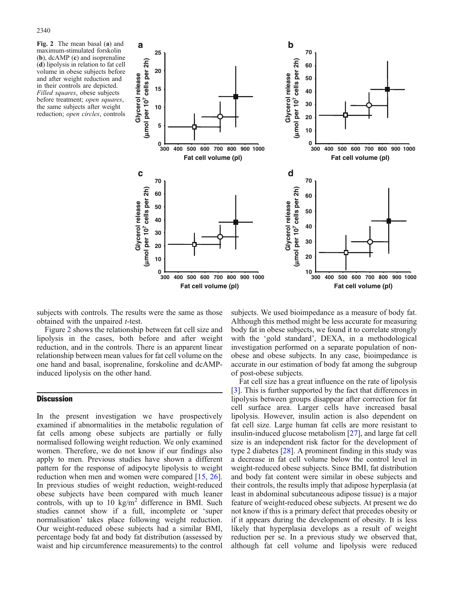Fig. 2 The mean basal (a) and maximum-stimulated forskolin (b), dcAMP (c) and isoprenaline (d) lipolysis in relation to fat cell volume in obese subjects before and after weight reduction and in their controls are depicted. Filled squares, obese subjects before treatment; open squares, the same subjects after weight reduction; open circles, controls



subjects with controls. The results were the same as those obtained with the unpaired t-test.

Figure 2 shows the relationship between fat cell size and lipolysis in the cases, both before and after weight reduction, and in the controls. There is an apparent linear relationship between mean values for fat cell volume on the one hand and basal, isoprenaline, forskoline and dcAMPinduced lipolysis on the other hand.

### **Discussion**

In the present investigation we have prospectively examined if abnormalities in the metabolic regulation of fat cells among obese subjects are partially or fully normalised following weight reduction. We only examined women. Therefore, we do not know if our findings also apply to men. Previous studies have shown a different pattern for the response of adipocyte lipolysis to weight reduction when men and women were compared [\[15,](#page-8-0) [26\]](#page-8-0). In previous studies of weight reduction, weight-reduced obese subjects have been compared with much leaner controls, with up to 10 kg/m<sup>2</sup> difference in BMI. Such studies cannot show if a full, incomplete or 'super normalisation' takes place following weight reduction. Our weight-reduced obese subjects had a similar BMI, percentage body fat and body fat distribution (assessed by waist and hip circumference measurements) to the control

subjects. We used bioimpedance as a measure of body fat. Although this method might be less accurate for measuring body fat in obese subjects, we found it to correlate strongly with the 'gold standard', DEXA, in a methodological investigation performed on a separate population of nonobese and obese subjects. In any case, bioimpedance is accurate in our estimation of body fat among the subgroup of post-obese subjects.

Fat cell size has a great influence on the rate of lipolysis [[3\]](#page-8-0). This is further supported by the fact that differences in lipolysis between groups disappear after correction for fat cell surface area. Larger cells have increased basal lipolysis. However, insulin action is also dependent on fat cell size. Large human fat cells are more resistant to insulin-induced glucose metabolism [\[27](#page-8-0)], and large fat cell size is an independent risk factor for the development of type 2 diabetes [\[28\]](#page-8-0). A prominent finding in this study was a decrease in fat cell volume below the control level in weight-reduced obese subjects. Since BMI, fat distribution and body fat content were similar in obese subjects and their controls, the results imply that adipose hyperplasia (at least in abdominal subcutaneous adipose tissue) is a major feature of weight-reduced obese subjects. At present we do not know if this is a primary defect that precedes obesity or if it appears during the development of obesity. It is less likely that hyperplasia develops as a result of weight reduction per se. In a previous study we observed that, although fat cell volume and lipolysis were reduced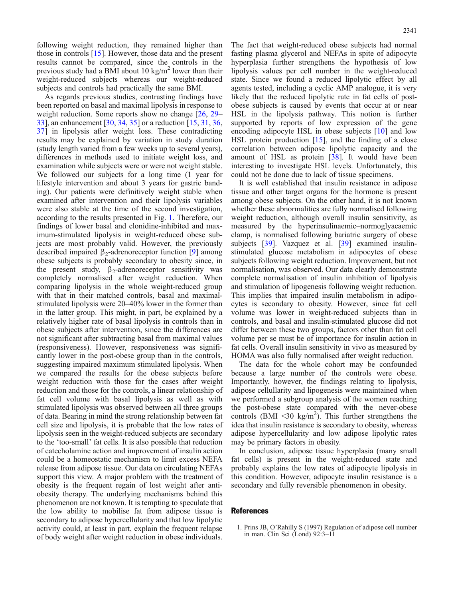<span id="page-7-0"></span>following weight reduction, they remained higher than those in controls [[15](#page-8-0)]. However, those data and the present results cannot be compared, since the controls in the previous study had a BMI about 10 kg/m<sup>2</sup> lower than their weight-reduced subjects whereas our weight-reduced subjects and controls had practically the same BMI.

As regards previous studies, contrasting findings have been reported on basal and maximal lipolysis in response to weight reduction. Some reports show no change [[26](#page-8-0), [29](#page-8-0)– [33\]](#page-8-0), an enhancement [\[30,](#page-8-0) [34,](#page-8-0) [35](#page-8-0)] or a reduction [\[15,](#page-8-0) [31](#page-8-0), [36](#page-8-0), [37\]](#page-8-0) in lipolysis after weight loss. These contradicting results may be explained by variation in study duration (study length varied from a few weeks up to several years), differences in methods used to initiate weight loss, and examination while subjects were or were not weight stable. We followed our subjects for a long time (1 year for lifestyle intervention and about 3 years for gastric banding). Our patients were definitively weight stable when examined after intervention and their lipolysis variables were also stable at the time of the second investigation, according to the results presented in Fig. [1](#page-4-0). Therefore, our findings of lower basal and clonidine-inhibited and maximum-stimulated lipolysis in weight-reduced obese subjects are most probably valid. However, the previously described impaired  $\beta_2$ -adrenoreceptor function [[9\]](#page-8-0) among obese subjects is probably secondary to obesity since, in the present study,  $\beta_2$ -adrenoreceptor sensitivity was completely normalised after weight reduction. When comparing lipolysis in the whole weight-reduced group with that in their matched controls, basal and maximalstimulated lipolysis were 20–40% lower in the former than in the latter group. This might, in part, be explained by a relatively higher rate of basal lipolysis in controls than in obese subjects after intervention, since the differences are not significant after subtracting basal from maximal values (responsiveness). However, responsiveness was significantly lower in the post-obese group than in the controls, suggesting impaired maximum stimulated lipolysis. When we compared the results for the obese subjects before weight reduction with those for the cases after weight reduction and those for the controls, a linear relationship of fat cell volume with basal lipolysis as well as with stimulated lipolysis was observed between all three groups of data. Bearing in mind the strong relationship between fat cell size and lipolysis, it is probable that the low rates of lipolysis seen in the weight-reduced subjects are secondary to the 'too-small' fat cells. It is also possible that reduction of catecholamine action and improvement of insulin action could be a homeostatic mechanism to limit excess NEFA release from adipose tissue. Our data on circulating NEFAs support this view. A major problem with the treatment of obesity is the frequent regain of lost weight after antiobesity therapy. The underlying mechanisms behind this phenomenon are not known. It is tempting to speculate that the low ability to mobilise fat from adipose tissue is secondary to adipose hypercellularity and that low lipolytic activity could, at least in part, explain the frequent relapse of body weight after weight reduction in obese individuals.

The fact that weight-reduced obese subjects had normal fasting plasma glycerol and NEFAs in spite of adipocyte hyperplasia further strengthens the hypothesis of low lipolysis values per cell number in the weight-reduced state. Since we found a reduced lipolytic effect by all agents tested, including a cyclic AMP analogue, it is very likely that the reduced lipolytic rate in fat cells of postobese subjects is caused by events that occur at or near HSL in the lipolysis pathway. This notion is further supported by reports of low expression of the gene encoding adipocyte HSL in obese subjects [\[10\]](#page-8-0) and low HSL protein production [\[15\]](#page-8-0), and the finding of a close correlation between adipose lipolytic capacity and the amount of HSL as protein [[38](#page-8-0)]. It would have been interesting to investigate HSL levels. Unfortunately, this could not be done due to lack of tissue specimens.

It is well established that insulin resistance in adipose tissue and other target organs for the hormone is present among obese subjects. On the other hand, it is not known whether these abnormalities are fully normalised following weight reduction, although overall insulin sensitivity, as measured by the hyperinsulinaemic–normoglyacaemic clamp, is normalised following bariatric surgery of obese subjects [[39](#page-8-0)]. Vazquez et al. [\[39\]](#page-8-0) examined insulinstimulated glucose metabolism in adipocytes of obese subjects following weight reduction. Improvement, but not normalisation, was observed. Our data clearly demonstrate complete normalisation of insulin inhibition of lipolysis and stimulation of lipogenesis following weight reduction. This implies that impaired insulin metabolism in adipocytes is secondary to obesity. However, since fat cell volume was lower in weight-reduced subjects than in controls, and basal and insulin-stimulated glucose did not differ between these two groups, factors other than fat cell volume per se must be of importance for insulin action in fat cells. Overall insulin sensitivity in vivo as measured by HOMA was also fully normalised after weight reduction.

The data for the whole cohort may be confounded because a large number of the controls were obese. Importantly, however, the findings relating to lipolysis, adipose cellullarity and lipogenesis were maintained when we performed a subgroup analysis of the women reaching the post-obese state compared with the never-obese controls (BMI <30 kg/m<sup>2</sup>). This further strengthens the idea that insulin resistance is secondary to obesity, whereas adipose hypercellularity and low adipose lipolytic rates may be primary factors in obesity.

In conclusion, adipose tissue hyperplasia (many small fat cells) is present in the weight-reduced state and probably explains the low rates of adipocyte lipolysis in this condition. However, adipocyte insulin resistance is a secondary and fully reversible phenomenon in obesity.

#### References

<sup>1.</sup> Prins JB, O'Rahilly S (1997) Regulation of adipose cell number in man. Clin Sci (Lond) 92:3–11